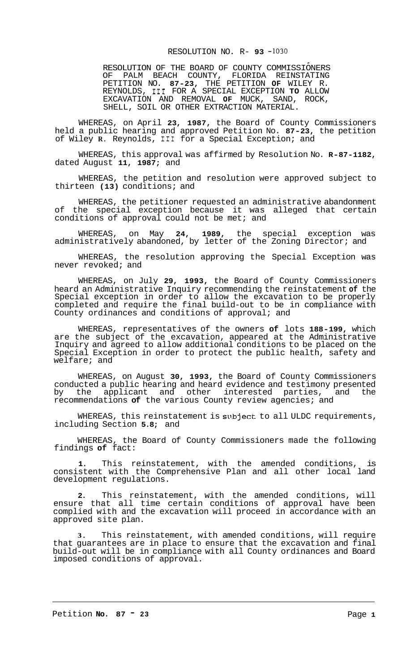## RESOLUTION NO. R- **93** -1030

RESOLUTION OF THE BOARD OF COUNTY COMMISSIONERS OF PALM BEACH COUNTY, FLORIDA REINSTATING PETITION NO. **87-23,** THE PETITION **OF** WILEY R. REYNOLDS, I11 FOR A SPECIAL EXCEPTION **TO** ALLOW EXCAVATION AND REMOVAL **OF** MUCK, SAND, ROCK, SHELL, SOIL OR OTHER EXTRACTION MATERIAL.

WHEREAS, on April **23, 1987,** the Board of County Commissioners held a public hearing and approved Petition No. **87-23,** the petition of Wiley **R.** Reynolds, I11 for a Special Exception; and

WHEREAS, this approval was affirmed by Resolution No. **R-87-1182,**  dated August **11, 1987;** and

WHEREAS, the petition and resolution were approved subject to thirteen **(13)** conditions; and

WHEREAS, the petitioner requested an administrative abandonment of the special exception because it was alleged that certain conditions of approval could not be met; and

WHEREAS, on May **24, 1989,** the special exception was administratively abandoned, by letter of the Zoning Director; and

WHEREAS, the resolution approving the Special Exception was never revoked; and

WHEREAS, on July **29, 1993,** the Board of County Commissioners heard an Administrative Inquiry recommending the reinstatement **of** the Special exception in order to allow the excavation to be properly completed and require the final build-out to be in compliance with County ordinances and conditions of approval; and

WHEREAS, representatives of the owners **of** lots **188-199,** which are the subject of the excavation, appeared at the Administrative Inquiry and agreed to allow additional conditions to be placed on the Special Exception in order to protect the public health, safety and welfare; and

WHEREAS, on August **30, 1993,** the Board of County Commissioners conducted a public hearing and heard evidence and testimony presented by the applicant and other interested parties, and the recommendations **of** the various County review agencies; and

WHEREAS, this reinstatement is subject to all ULDC requirements, including Section **5.8;** and

WHEREAS, the Board of County Commissioners made the following findings **of** fact:

**1.** This reinstatement, with the amended conditions, is consistent with the Comprehensive Plan and all other local land development regulations.

**2.** This reinstatement, with the amended conditions, will ensure that all time certain conditions of approval have been complied with and the excavation will proceed in accordance with an approved site plan.

**3.** This reinstatement, with amended conditions, will require that guarantees are in place to ensure that the excavation and final build-out will be in compliance with all County ordinances and Board imposed conditions of approval.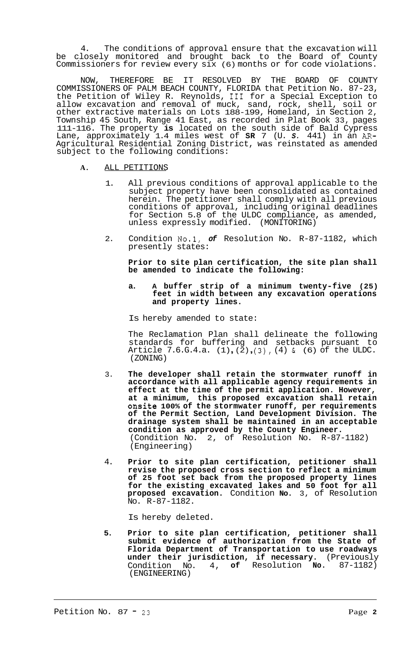4. The conditions of approval ensure that the excavation will be closely monitored and brought back to the Board of County Commissioners for review every six (6) months or for code violations.

NOW, THEREFORE BE IT RESOLVED BY THE BOARD OF COUNTY COMMISSIONERS OF PALM BEACH COUNTY, FLORIDA that Petition No. 87-23, the Petition of Wiley R. Reynolds, I11 for a Special Exception to allow excavation and removal of muck, sand, rock, shell, soil or other extractive materials on Lots 188-199, Homeland, in Section 2, Township 45 South, Range 41 East, as recorded in Plat Book 33, pages 111-116. The property **is** located on the south side of Bald Cypress Lane, approximately 1.4 miles west of **SR** 7 (U. *S.* 441) in an *AR-*Agricultural Residential Zoning District, was reinstated as amended subject to the following conditions:

## **A.** ALL PETITIONS

- 1. All previous conditions of approval applicable to the subject property have been consolidated as contained herein. The petitioner shall comply with all previous conditions of approval, including original deadlines for Section 5.8 of the ULDC compliance, as amended, unless expressly modified. (MONITORING)
- 2. Condition No.1, *of* Resolution No. R-87-1182, which presently states:

**Prior to site plan certification, the site plan shall be amended to indicate the following:** 

## **a. A buffer strip of a minimum twenty-five (25) feet in width between any excavation operations and property lines.**

Is hereby amended to state:

The Reclamation Plan shall delineate the following standards for buffering and setbacks pursuant to Article 7.6.G.4.a.  $(1)$ ,  $(2)$ ,  $(3)$ ,  $(4)$  &  $(6)$  of the ULDC. (ZONING)

- 3. **The developer shall retain the stormwater runoff in accordance with all applicable agency requirements in effect at the time of the permit application. However, at a minimum, this proposed excavation shall retain onsite 100% of the stormwater runoff, per requirements of the Permit Section, Land Development Division. The drainage system shall be maintained in an acceptable condition as approved by the County Engineer.**  (Condition No. 2, of Resolution No. R-87-1182) (Engineering)
- 4. **Prior to site plan certification, petitioner shall revise the proposed cross section to reflect a minimum of 25 foot set back from the proposed property lines for the existing excavated lakes and 50 foot for all proposed excavation.** Condition **No.** 3, of Resolution No. R-87-1182.

Is hereby deleted.

**5. Prior to site plan certification, petitioner shall submit evidence of authorization from the State of Florida Department of Transportation to use roadways under their jurisdiction, if necessary.** (Previously Condition No. 4, **of** Resolution **No.** 87-1182) (ENGINEERING)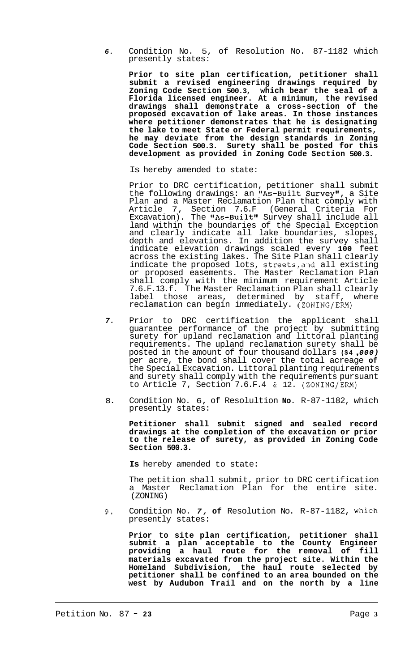*6.* Condition No. 5, of Resolution No. 87-1182 which presently states:

**Prior to site plan certification, petitioner shall submit a revised engineering drawings required by Zoning Code Section 500.3, which bear the seal of a Florida licensed engineer. At a minimum, the revised drawings shall demonstrate a cross-section of the proposed excavation of lake areas. In those instances where petitioner demonstrates that he is designating the lake to meet State or Federal permit requirements, he may deviate from the design standards in Zoning Code Section 500.3. Surety shall be posted for this development as provided in Zoning Code Section 500.3.** 

Is hereby amended to state:

Prior to DRC certification, petitioner shall submit the following drawings: an "As-Built Survey", a Site Plan and a Master Reclamation Plan that comply with Article 7, Section 7.6.F (General Criteria For Excavation). The "As-Built" Survey shall include all land within the boundaries of the Special Exception and clearly indicate all lake boundaries, slopes, depth and elevations. In addition the survey shall indicate elevation drawings scaled every **100** feet across the existing lakes. The Site Plan shall clearly indicate the proposed lots, streets, and all existing or proposed easements. The Master Reclamation Plan shall comply with the minimum requirement Article 7.6.F.13.f. The Master Reclamation Plan shall clearly label those areas, determined by staff, where reclamation can begin immediately. (ZONING/ERM)

- *7.* Prior to DRC certification the applicant shall guarantee performance of the project by submitting surety for upland reclamation and littoral planting requirements. The upland reclamation surety shall be posted in the amount of four thousand dollars **(\$4** , *000)*  per acre, the bond shall cover the total acreage **of**  the Special Excavation. Littoral planting requirements and surety shall comply with the requirements pursuant to Article 7, Section 7.6.F.4 & 12. (ZONING/ERM)
- 8. Condition No. 6, of Resolultion **No.** R-87-1182, which presently states:

**Petitioner shall submit signed and sealed record drawings at the completion of the excavation or prior to the release of surety, as provided in Zoning Code Section 500.3.** 

**Is** hereby amended to state:

The petition shall submit, prior to DRC certification a Master Reclamation Plan for the entire site. (ZONING)

**9.** Condition No. *7,* **of** Resolution No. R-87-1182, which presently states:

**Prior to site plan certification, petitioner shall submit a plan acceptable to the County Engineer providing a haul route for the removal of fill materials excavated from the project site. Within the Homeland Subdivision, the haul route selected by petitioner shall be confined to an area bounded on the west by Audubon Trail and on the north by a line**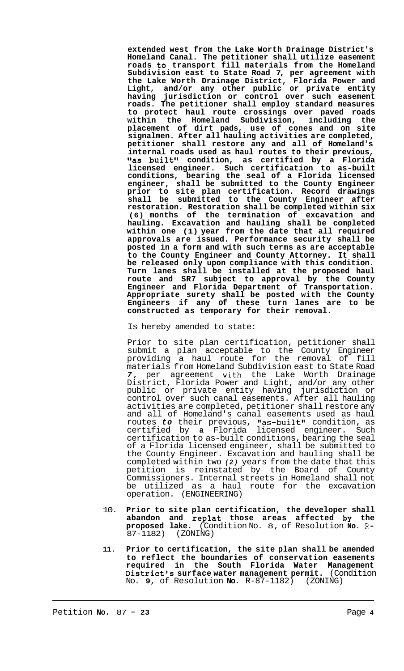**extended west from the Lake Worth Drainage District's Homeland Canal. The petitioner shall utilize easement roads to transport fill materials from the Homeland Subdivision east to State Road 7, per agreement with the Lake Worth Drainage District, Florida Power and Light, and/or any other public or private entity having jurisdiction or control over such easement roads. The petitioner shall employ standard measures to protect haul route crossings over paved roads within the Homeland Subdivision, including the placement of dirt pads, use of cones and on site signalmen. After all hauling activities are completed, petitioner shall restore any and all of Homeland's internal roads used as haul routes to their previous, "as built" condition, as certified by a Florida licensed engineer. Such certification to as-built conditions, bearing the seal of a Florida licensed engineer, shall be submitted to the County Engineer prior to site plan certification. Record drawings shall be submitted to the County Engineer after restoration. Restoration shall be completed within six (6) months of the termination of excavation and hauling. Excavation and hauling shall be completed within one (1) year from the date that all required approvals are issued. Performance security shall be posted in a form and with such terms as are acceptable to the County Engineer and County Attorney. It shall be released only upon compliance with this condition. Turn lanes shall be installed at the proposed haul route and SR7 subject to approval by the County Engineer and Florida Department of Transportation. Appropriate surety shall be posted with the County Engineers if any of these turn lanes are to be constructed as temporary for their removal.** 

Is hereby amended to state:

Prior to site plan certification, petitioner shall submit a plan acceptable to the County Engineer providing a haul route for the removal of fill materials from Homeland Subdivision east to State Road 7, per agreement with the Lake Worth Drainage District, Florida Power and Light, and/or any other public or private entity having jurisdiction or control over such canal easements. After all hauling activities are completed, petitioner shall restore any and all of Homeland's canal easements used as haul routes *to* their previous, "as-built" condition, as certified by **a** Florida licensed engineer. Such certification to as-built conditions, bearing the seal of a Florida licensed engineer, shall be submitted to the County Engineer. Excavation and hauling shall be completed within two *(2)* years from the date that this petition is reinstated by the Board of County Commissioners. Internal streets in Homeland shall not be utilized as a haul route for the excavation operation. (ENGINEERING)

- 10. **Prior to site plan certification, the developer shall abandon and replat those areas affected by the proposed lake.** (Condition No. 8, of Resolution **No.** R-87-1182) (ZONING)
- **11. Prior to certification, the site plan shall be amended to reflect the boundaries of conservation easements required in the South Florida Water Management District's surface water management permit.** (Condition No. **9,** of Resolution **No.** R-87-1182) (ZONING)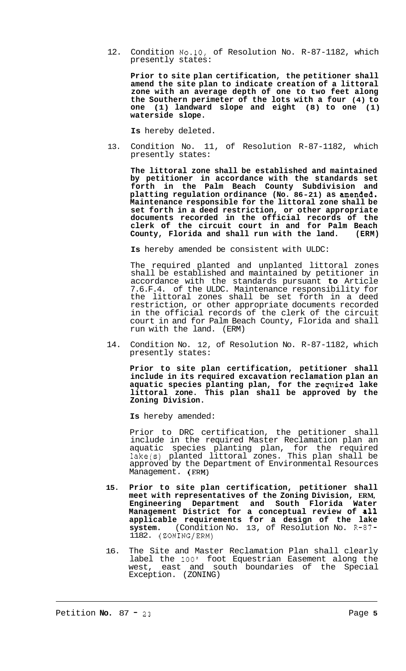12. Condition No.10, of Resolution No. R-87-1182, which presently states:

**Prior to site plan certification, the petitioner shall amend the site plan to indicate creation of a littoral zone with an average depth of one to two feet along the Southern perimeter of the lots with a four (4) to one (1) landward slope and eight (8) to one (1) waterside slope.** 

**Is** hereby deleted.

13. Condition No. 11, of Resolution R-87-1182, which presently states:

**The littoral zone shall be established and maintained by petitioner in accordance with the standards set forth in the Palm Beach County Subdivision and**  platting regulation ordinance (No. 86-21) as amended. **Maintenance responsible for the littoral zone shall be set forth in a deed restriction, or other appropriate documents recorded in the official records of the clerk of the circuit court in and for Palm Beach County, Florida and shall run with the land. (ERM)** 

**Is** hereby amended be consistent with ULDC:

The required planted and unplanted littoral zones shall be established and maintained by petitioner in accordance with the standards pursuant **to** Article 7.6.F.4. of the ULDC. Maintenance responsibility for the littoral zones shall be set forth in a deed restriction, or other appropriate documents recorded in the official records of the clerk of the circuit court in and for Palm Beach County, Florida and shall run with the land. (ERM)

14. Condition No. 12, of Resolution No. R-87-1182, which presently states:

**Prior to site plan certification, petitioner shall include in its required excavation reclamation plan an aquatic species planting plan, for the required lake littoral zone. This plan shall be approved by the Zoning Division.** 

**Is** hereby amended:

Prior to DRC certification, the petitioner shall include in the required Master Reclamation plan an aquatic species planting plan, for the required lake(s) planted littoral zones. This plan shall be approved by the Department of Environmental Resources Management. (ERM)

- **15. Prior to site plan certification, petitioner shall meet with representatives of the Zoning Division, ERM, Engineering Department and South Florida Water Management District for a conceptual review of all applicable requirements for a design of the lake system.** (Condition No. 13, of Resolution No. R-87- 1182. (ZONING/ERM)
- 16. The Site and Master Reclamation Plan shall clearly label the 100' foot Equestrian Easement along the west, east and south boundaries of the Special Exception. (ZONING)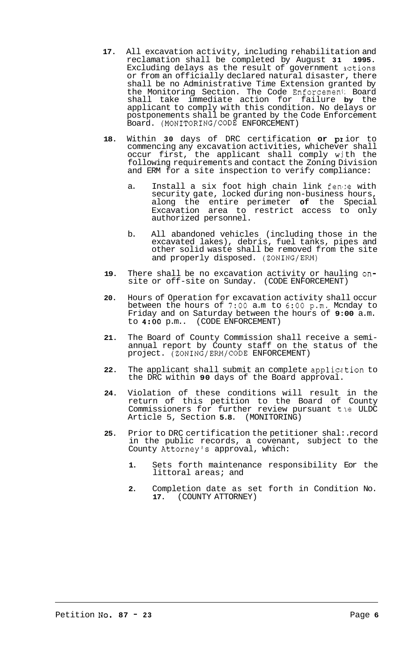- **17.** All excavation activity, including rehabilitation and reclamation shall be completed by August **31 1995.**  Excluding delays as the result of government actions or from an officially declared natural disaster, there shall be no Administrative Time Extension granted by the Monitoring Section. The Code Enforcemeni: Board shall take immediate action for failure **by** the applicant to comply with this condition. No delays or postponements shall be granted by the Code Enforcement Board. (MONITORING/CODE ENFORCEMENT)
- **18.** Within **30** days of DRC certification **or PI** ior to commencing any excavation activities, whichever shall occur first, the applicant shall comply with the following requirements and contact the Zoning Division and ERM for a site inspection to verify compliance:
	- a. Install a six foot high chain link fen1:e with security gate, locked during non-business hours, along the entire perimeter **of** the Special Excavation area to restrict access to only authorized personnel.
	- b. All abandoned vehicles (including those in the excavated lakes), debris, fuel tanks, pipes and other solid waste shall be removed from the site and properly disposed. (ZONING/ERM)
- **19.** There shall be no excavation activity or hauling onsite or off-site on Sunday. (CODE ENFORCEMENT)
- **20.** Hours of Operation for excavation activity shall occur between the hours of **7:OO** a.m to *6:OO* p.m. Mcnday to Friday and on Saturday between the hours of **9:00** a.m. (CODE ENFORCEMENT)
- **21.** The Board of County Commission shall receive a semi- annual report by County staff on the status of the project. (ZONING/ERM/CODE ENFORCEMENT)
- **22.** The applicant shall submit an complete applicc tion to the DRC within **90** days of the Board approval.
- **24.** Violation of these conditions will result in the return of this petition to the Board of County Commissioners for further review pursuant the ULDC Article 5, Section **5.8.** (MONITORING)
- **25.** Prior to DRC certification the petitioner shal:. record in the public records, a covenant, subject to the County Attorney's approval, which:
	- **1.** Sets forth maintenance responsibility Eor the littoral areas; and
	- **2.** Completion date as set forth in Condition No. **17.** (COUNTY ATTORNEY)